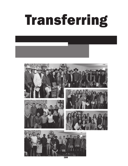# Transferring

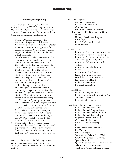### University of Wyoming

The University of Wyoming maintains an outreach center on EWC's Torrington campus. Students who plan to transfer to the University of Wyoming should be aware of a number of things that make the process a simple matter.

- 1. Common Course Numbering the University of Wyoming and all seven Wyoming Community Colleges have adopted a common course numbering system for equivalent courses. A student can count on English 1010 having the same number and title at all schools.
- 2. Transfer Guide students may refer to the transfer catalog to identify transfer course equivalents and how they fit into UW University Studies Program requirements. Go to www.uwyo.edu to search for Transfer Catalog or contact local UW office.
- 3. The University of Wyoming has University Studies requirements for students in any major or college. EWC offers classes that meet the lower level requirements of the University Studies program.
- 4. Articulation Agreement students transferring to UW from any Wyoming community college with an Associate of Arts or Science Degree will have met the lower division USP requirements, except for the second math course. Students transferring to UW from any Wyoming community college without an AA or AS degree will have their transcripts reviewed with the Transfer Catalog on a course by course basis.
- 5. It is beneficial for a student to complete an Associate Degree from EWC or other community college prior to tranferring to the UW Outreach School. See the UW Academic Coordinator for details.
- 6. Community college graduates with an associate's degree (AAS, AS or AA) and work experience will be able to earn a degree from the University of Wyoming under a Bachelor's of Applied Science (BAS) Degree track.

UW provides access to the following degree, endorsement, and certificate programs in Torrington and at numerous outreach sites in the region.

- 
- 
- 
- 

Bachelor's Degrees • Applied Science (BAS) • Business Administration • Criminal Justice • Family and Consumer Sciences (Professional Child Development Option) -

- online<br>• Nursing (Accelerated Program)<br>• Psychology<br>• RN/BSN Completion online<br>• Social Science
- 
- 
- 

- Master's Degrees Education: Curriculum and Instruction Education: Educational Leadership Education: Educational Administration
	-
	-
	- Adult and Post-Secondary Ed<br>
	Education: Online Instructional<br>
	Technology<br>
	Education: Special Education<br>
	English<br>
	Executive MBA Online<br>
	Family & Consumer Sciences<br>
	Health Services Administration<br>
	Kinesiology and Health<br>
	O
	-
	-
	-
	-
	-
	-
	-
	-

#### Doctoral Degrees

- DNP in Nursing Practice
- Ed.D. in Education Administration: Adult and Post Secondary
- Instructional Technology

Certificate & Endorsement Programs

- Early Childhood Birth to Five
- 
- Early Childhood Program Director Early Childhood Special Education
- Early Childhood Birth to Eight
- English as a Second Language Certificate/Endorsement
- Land/Cadastral Surveying
- **Literacy**
- Online Instruction Certificate
- Play Therapy
- School Principal
- Social Work School Social Work Graduate Preparatory - Certificate
- Special Education
- Special Education Director Endorsement
- School District Superintendent
- Teachers of American Indian Children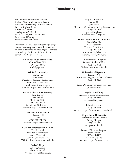## **Transferring**

For additional information contact: Richard Ward, Academic Coordinator University of Wyoming Outreach School Eastern Regional Center 3200 West C Street Torrington, WY 82240 307.532.8371, Fax: 307.532.8308 Email: rward1@uwyo.edu Website: uwyo.edu/outreach

Other colleges that Eastern Wyoming College has articulation agreements with include the following. Students are encouraged to contact these colleges for further information to complete Bachelor's Degrees.

#### **American Public University**

Charles Town, WV (304) 224-6936 study $(a)$ apu.com

#### **Ashford University**

Clinton, IA Mark Young Director of Academic Partnerships (800) 798-0584 x3426 mark.young@ashford.edu Website: http://www.ashford.edu

#### **Black Hills State University**

Spearfish, SD Joe Rainboth (800) 255-BHSU (605) 642-6412 joe.rainboth@BHSU.edu Website: http://www.bhsu.edu

#### **Chadron State College**

Chadron, NE **Staff** (800) CHADRON Website: http://www.csc.edu

#### **National American University**

Tim Schnabel Director of Admissions (605) 394-4939 tschnabel@national.edu Website: http://www.national.edu

#### **Olds College**

Alberta, Canada (800) 661-6537 Website: www.oldcollege.ca

#### **Regis University**

Denver, CO Jill Garber Director of Community College Partnerships (303) 458-4326 jgarber@regis.edu Website: http://regis.edu

#### **South Dakota School of Mines**

Rapid City, SD Carol Racanelli Transfer Coordinator (605) 394-1608 carol.racanelli@sdsmt.edu Website: www.sdsmt.edu

#### **University of Phoenix**

Potential Student Office (866) 766-0766 Website: www.phoenix.edu

#### **University of Wyoming** Laramie, WY Eastern Wyoming Outreach Coordinator (307) 532-8371

Eastern Wyoming Outreach Secretary (307) 632-8949

Angela DeWolf King Assistant Director of Admissions (307) 766-3895 angelade@uwyo.edu

Education majors (307) 766-3145 Website: http://www.uwyo.edu/education

#### **Upper Iowa University**

Transfers to Fayette Campus Wendy Munger (563) 425-5330 mungerw@uiu.edu

Distance Education Program Dawn Novak (563) 425-5400 novakd@uiu.edu Website: http://www.uiu.edu